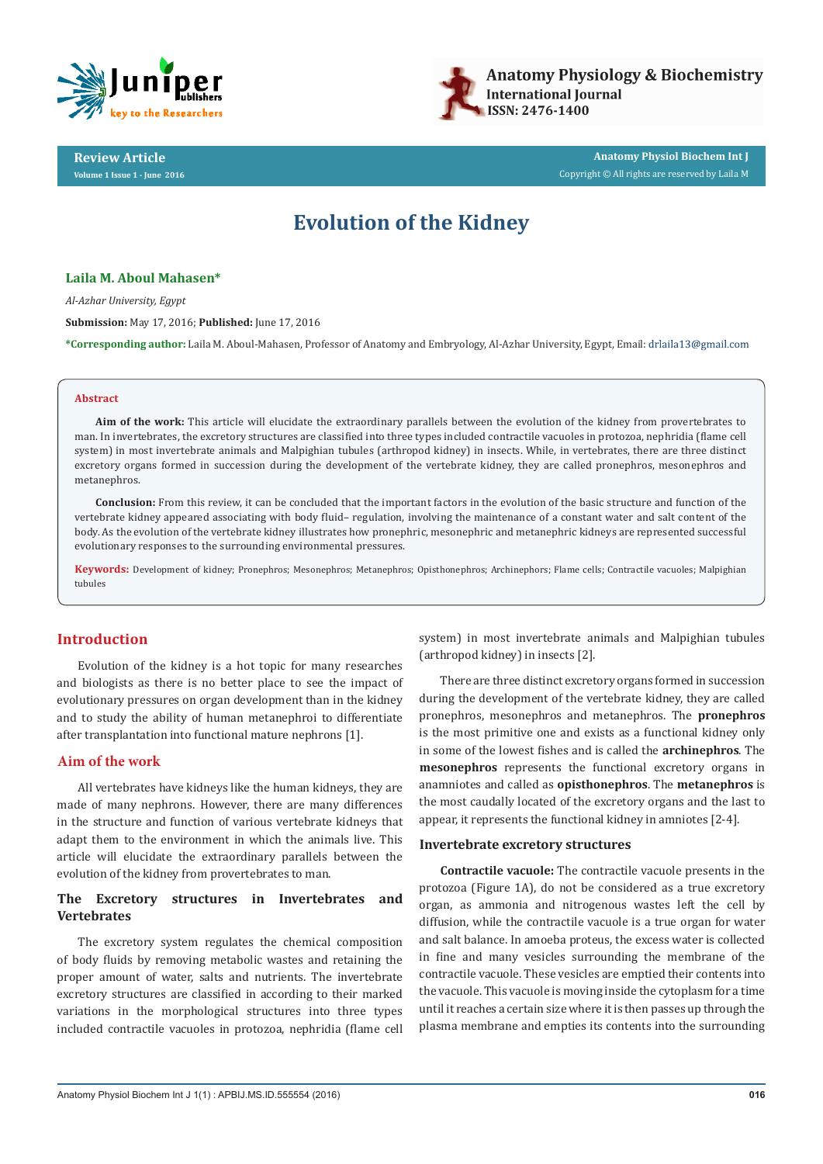



**Review Article Volume 1 Issue 1 - June 2016**

**Anatomy Physiol Biochem Int J** Copyright © All rights are reserved by Laila M

# **Evolution of the Kidney**

# **Laila M. Aboul Mahasen\***

*Al-Azhar University, Egypt*

**Submission:** May 17, 2016; **Published:** June 17, 2016

**\*Corresponding author:** Laila M. Aboul-Mahasen, Professor of Anatomy and Embryology, Al-Azhar University, Egypt, Email:

#### **Abstract**

**Aim of the work:** This article will elucidate the extraordinary parallels between the evolution of the kidney from provertebrates to man. In invertebrates, the excretory structures are classified into three types included contractile vacuoles in protozoa, nephridia (flame cell system) in most invertebrate animals and Malpighian tubules (arthropod kidney) in insects. While, in vertebrates, there are three distinct excretory organs formed in succession during the development of the vertebrate kidney, they are called pronephros, mesonephros and metanephros.

**Conclusion:** From this review, it can be concluded that the important factors in the evolution of the basic structure and function of the vertebrate kidney appeared associating with body fluid– regulation, involving the maintenance of a constant water and salt content of the body. As the evolution of the vertebrate kidney illustrates how pronephric, mesonephric and metanephric kidneys are represented successful evolutionary responses to the surrounding environmental pressures.

**Keywords:** Development of kidney; Pronephros; Mesonephros; Metanephros; Opisthonephros; Archinephors; Flame cells; Contractile vacuoles; Malpighian tubules

# **Introduction**

Evolution of the kidney is a hot topic for many researches and biologists as there is no better place to see the impact of evolutionary pressures on organ development than in the kidney and to study the ability of human metanephroi to differentiate after transplantation into functional mature nephrons [1].

## **Aim of the work**

All vertebrates have kidneys like the human kidneys, they are made of many nephrons. However, there are many differences in the structure and function of various vertebrate kidneys that adapt them to the environment in which the animals live. This article will elucidate the extraordinary parallels between the evolution of the kidney from provertebrates to man.

# **The Excretory structures in Invertebrates and Vertebrates**

The excretory system regulates the chemical composition of body fluids by removing metabolic wastes and retaining the proper amount of water, salts and nutrients. The invertebrate excretory structures are classified in according to their marked variations in the morphological structures into three types included contractile vacuoles in protozoa, nephridia (flame cell

system) in most invertebrate animals and Malpighian tubules (arthropod kidney) in insects [2].

There are three distinct excretory organs formed in succession during the development of the vertebrate kidney, they are called pronephros, mesonephros and metanephros. The **pronephros**  is the most primitive one and exists as a functional kidney only in some of the lowest fishes and is called the **archinephros**. The **mesonephros** represents the functional excretory organs in anamniotes and called as **opisthonephros**. The **metanephros** is the most caudally located of the excretory organs and the last to appear, it represents the functional kidney in amniotes [2-4].

#### **Invertebrate excretory structures**

**Contractile vacuole:** The contractile vacuole presents in the protozoa (Figure 1A), do not be considered as a true excretory organ, as ammonia and nitrogenous wastes left the cell by diffusion, while the contractile vacuole is a true organ for water and salt balance. In amoeba proteus, the excess water is collected in fine and many vesicles surrounding the membrane of the contractile vacuole. These vesicles are emptied their contents into the vacuole. This vacuole is moving inside the cytoplasm for a time until it reaches a certain size where it is then passes up through the plasma membrane and empties its contents into the surrounding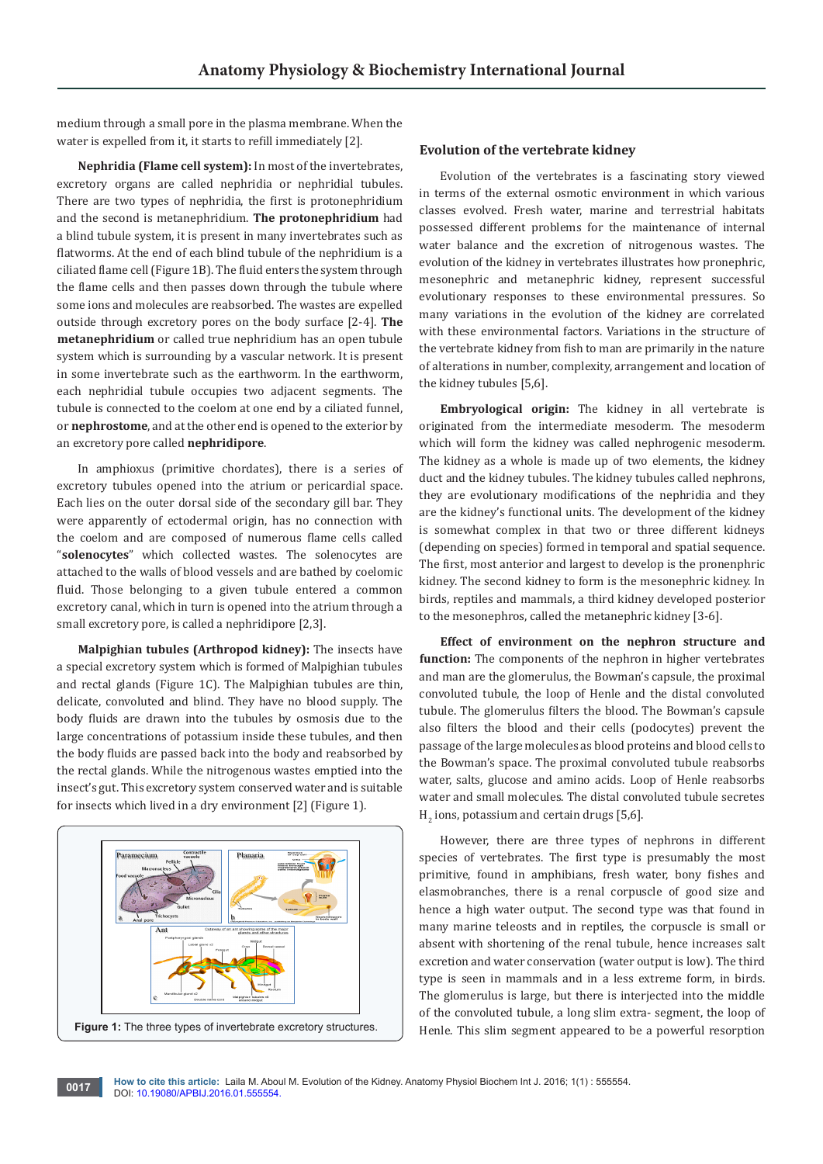medium through a small pore in the plasma membrane. When the water is expelled from it, it starts to refill immediately [2].

**Nephridia (Flame cell system):** In most of the invertebrates, excretory organs are called nephridia or nephridial tubules. There are two types of nephridia, the first is protonephridium and the second is metanephridium. **The protonephridium** had a blind tubule system, it is present in many invertebrates such as flatworms. At the end of each blind tubule of the nephridium is a ciliated flame cell (Figure 1B). The fluid enters the system through the flame cells and then passes down through the tubule where some ions and molecules are reabsorbed. The wastes are expelled outside through excretory pores on the body surface [2-4]. **The metanephridium** or called true nephridium has an open tubule system which is surrounding by a vascular network. It is present in some invertebrate such as the earthworm. In the earthworm, each nephridial tubule occupies two adjacent segments. The tubule is connected to the coelom at one end by a ciliated funnel, or **nephrostome**, and at the other end is opened to the exterior by an excretory pore called **nephridipore**.

In amphioxus (primitive chordates), there is a series of excretory tubules opened into the atrium or pericardial space. Each lies on the outer dorsal side of the secondary gill bar. They were apparently of ectodermal origin, has no connection with the coelom and are composed of numerous flame cells called "**solenocytes**" which collected wastes. The solenocytes are attached to the walls of blood vessels and are bathed by coelomic fluid. Those belonging to a given tubule entered a common excretory canal, which in turn is opened into the atrium through a small excretory pore, is called a nephridipore [2,3].

**Malpighian tubules (Arthropod kidney):** The insects have a special excretory system which is formed of Malpighian tubules and rectal glands (Figure 1C). The Malpighian tubules are thin, delicate, convoluted and blind. They have no blood supply. The body fluids are drawn into the tubules by osmosis due to the large concentrations of potassium inside these tubules, and then the body fluids are passed back into the body and reabsorbed by the rectal glands. While the nitrogenous wastes emptied into the insect's gut. This excretory system conserved water and is suitable for insects which lived in a dry environment [2] (Figure 1).



#### **Evolution of the vertebrate kidney**

Evolution of the vertebrates is a fascinating story viewed in terms of the external osmotic environment in which various classes evolved. Fresh water, marine and terrestrial habitats possessed different problems for the maintenance of internal water balance and the excretion of nitrogenous wastes. The evolution of the kidney in vertebrates illustrates how pronephric, mesonephric and metanephric kidney, represent successful evolutionary responses to these environmental pressures. So many variations in the evolution of the kidney are correlated with these environmental factors. Variations in the structure of the vertebrate kidney from fish to man are primarily in the nature of alterations in number, complexity, arrangement and location of the kidney tubules [5,6].

**Embryological origin:** The kidney in all vertebrate is originated from the intermediate mesoderm. The mesoderm which will form the kidney was called nephrogenic mesoderm. The kidney as a whole is made up of two elements, the kidney duct and the kidney tubules. The kidney tubules called nephrons, they are evolutionary modifications of the nephridia and they are the kidney's functional units. The development of the kidney is somewhat complex in that two or three different kidneys (depending on species) formed in temporal and spatial sequence. The first, most anterior and largest to develop is the pronenphric kidney. The second kidney to form is the mesonephric kidney. In birds, reptiles and mammals, a third kidney developed posterior to the mesonephros, called the metanephric kidney [3-6].

**Effect of environment on the nephron structure and function:** The components of the nephron in higher vertebrates and man are the glomerulus, the Bowman's capsule, the proximal convoluted tubule, the loop of Henle and the distal convoluted tubule. The glomerulus filters the blood. The Bowman's capsule also filters the blood and their cells (podocytes) prevent the passage of the large molecules as blood proteins and blood cells to the Bowman's space. The proximal convoluted tubule reabsorbs water, salts, glucose and amino acids. Loop of Henle reabsorbs water and small molecules. The distal convoluted tubule secretes  $H_2$  ions, potassium and certain drugs [5,6].

However, there are three types of nephrons in different species of vertebrates. The first type is presumably the most primitive, found in amphibians, fresh water, bony fishes and elasmobranches, there is a renal corpuscle of good size and hence a high water output. The second type was that found in many marine teleosts and in reptiles, the corpuscle is small or absent with shortening of the renal tubule, hence increases salt excretion and water conservation (water output is low). The third type is seen in mammals and in a less extreme form, in birds. The glomerulus is large, but there is interjected into the middle of the convoluted tubule, a long slim extra- segment, the loop of Henle. This slim segment appeared to be a powerful resorption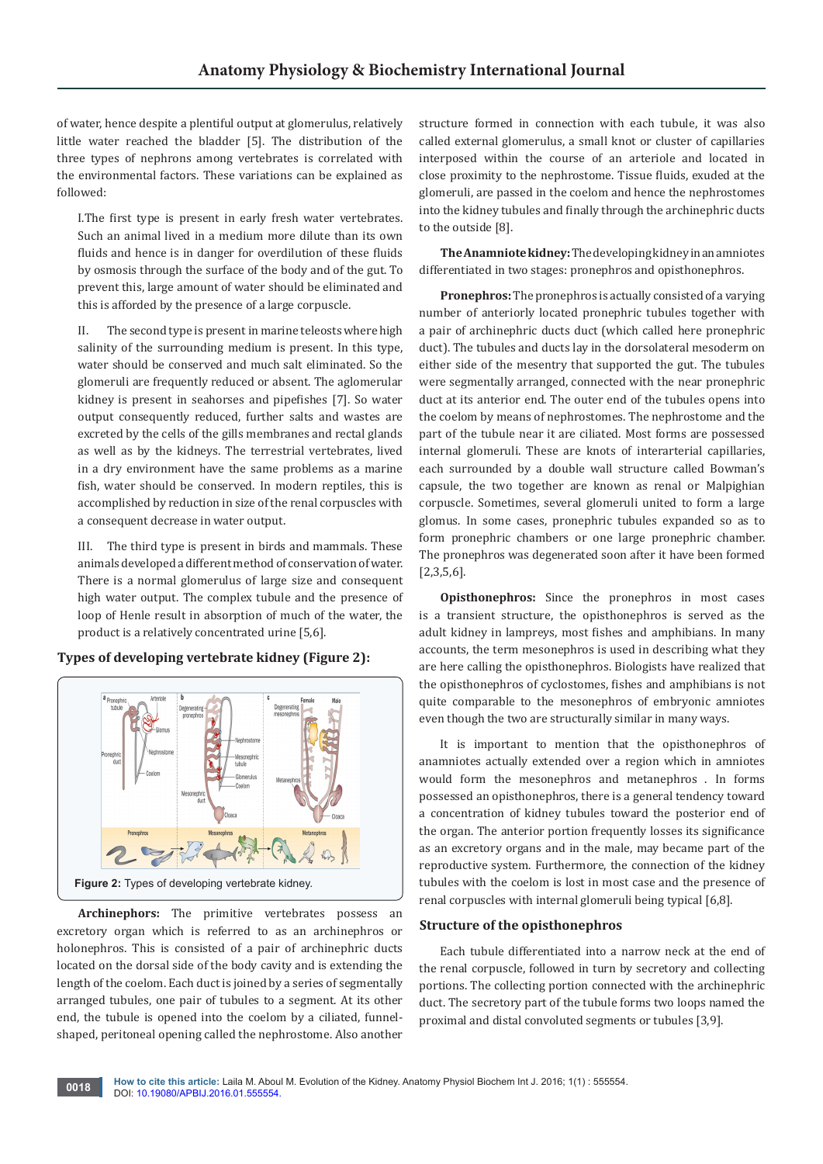of water, hence despite a plentiful output at glomerulus, relatively little water reached the bladder [5]. The distribution of the three types of nephrons among vertebrates is correlated with the environmental factors. These variations can be explained as followed:

I.The first type is present in early fresh water vertebrates. Such an animal lived in a medium more dilute than its own fluids and hence is in danger for overdilution of these fluids by osmosis through the surface of the body and of the gut. To prevent this, large amount of water should be eliminated and this is afforded by the presence of a large corpuscle.

II. The second type is present in marine teleosts where high salinity of the surrounding medium is present. In this type, water should be conserved and much salt eliminated. So the glomeruli are frequently reduced or absent. The aglomerular kidney is present in seahorses and pipefishes [7]. So water output consequently reduced, further salts and wastes are excreted by the cells of the gills membranes and rectal glands as well as by the kidneys. The terrestrial vertebrates, lived in a dry environment have the same problems as a marine fish, water should be conserved. In modern reptiles, this is accomplished by reduction in size of the renal corpuscles with a consequent decrease in water output.

III. The third type is present in birds and mammals. These animals developed a different method of conservation of water. There is a normal glomerulus of large size and consequent high water output. The complex tubule and the presence of loop of Henle result in absorption of much of the water, the product is a relatively concentrated urine [5,6].





**Archinephors:** The primitive vertebrates possess an excretory organ which is referred to as an archinephros or holonephros. This is consisted of a pair of archinephric ducts located on the dorsal side of the body cavity and is extending the length of the coelom. Each duct is joined by a series of segmentally arranged tubules, one pair of tubules to a segment. At its other end, the tubule is opened into the coelom by a ciliated, funnelshaped, peritoneal opening called the nephrostome. Also another

structure formed in connection with each tubule, it was also called external glomerulus, a small knot or cluster of capillaries interposed within the course of an arteriole and located in close proximity to the nephrostome. Tissue fluids, exuded at the glomeruli, are passed in the coelom and hence the nephrostomes into the kidney tubules and finally through the archinephric ducts to the outside [8].

**The Anamniote kidney:** The developing kidney in an amniotes differentiated in two stages: pronephros and opisthonephros.

**Pronephros:** The pronephros is actually consisted of a varying number of anteriorly located pronephric tubules together with a pair of archinephric ducts duct (which called here pronephric duct). The tubules and ducts lay in the dorsolateral mesoderm on either side of the mesentry that supported the gut. The tubules were segmentally arranged, connected with the near pronephric duct at its anterior end. The outer end of the tubules opens into the coelom by means of nephrostomes. The nephrostome and the part of the tubule near it are ciliated. Most forms are possessed internal glomeruli. These are knots of interarterial capillaries, each surrounded by a double wall structure called Bowman's capsule, the two together are known as renal or Malpighian corpuscle. Sometimes, several glomeruli united to form a large glomus. In some cases, pronephric tubules expanded so as to form pronephric chambers or one large pronephric chamber. The pronephros was degenerated soon after it have been formed [2,3,5,6].

**Opisthonephros:** Since the pronephros in most cases is a transient structure, the opisthonephros is served as the adult kidney in lampreys, most fishes and amphibians. In many accounts, the term mesonephros is used in describing what they are here calling the opisthonephros. Biologists have realized that the opisthonephros of cyclostomes, fishes and amphibians is not quite comparable to the mesonephros of embryonic amniotes even though the two are structurally similar in many ways.

It is important to mention that the opisthonephros of anamniotes actually extended over a region which in amniotes would form the mesonephros and metanephros . In forms possessed an opisthonephros, there is a general tendency toward a concentration of kidney tubules toward the posterior end of the organ. The anterior portion frequently losses its significance as an excretory organs and in the male, may became part of the reproductive system. Furthermore, the connection of the kidney tubules with the coelom is lost in most case and the presence of renal corpuscles with internal glomeruli being typical [6,8].

# **Structure of the opisthonephros**

Each tubule differentiated into a narrow neck at the end of the renal corpuscle, followed in turn by secretory and collecting portions. The collecting portion connected with the archinephric duct. The secretory part of the tubule forms two loops named the proximal and distal convoluted segments or tubules [3,9].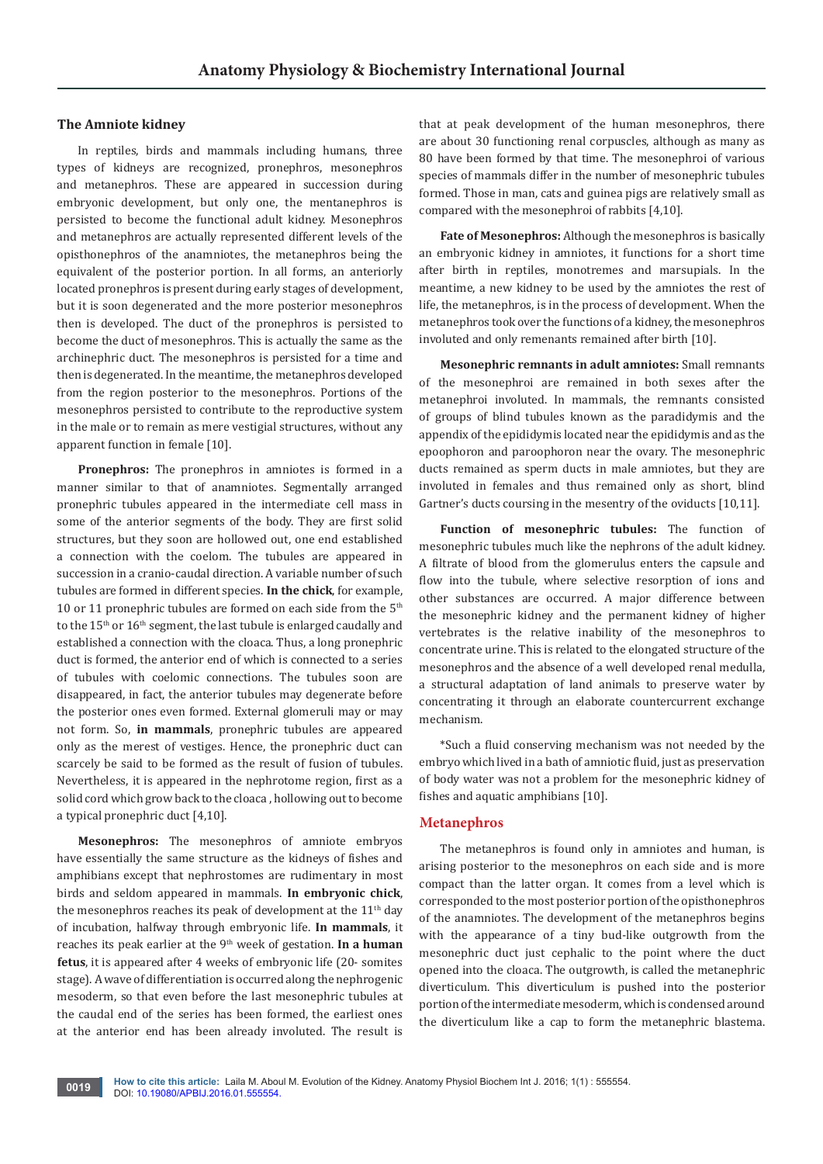## **The Amniote kidney**

In reptiles, birds and mammals including humans, three types of kidneys are recognized, pronephros, mesonephros and metanephros. These are appeared in succession during embryonic development, but only one, the mentanephros is persisted to become the functional adult kidney. Mesonephros and metanephros are actually represented different levels of the opisthonephros of the anamniotes, the metanephros being the equivalent of the posterior portion. In all forms, an anteriorly located pronephros is present during early stages of development, but it is soon degenerated and the more posterior mesonephros then is developed. The duct of the pronephros is persisted to become the duct of mesonephros. This is actually the same as the archinephric duct. The mesonephros is persisted for a time and then is degenerated. In the meantime, the metanephros developed from the region posterior to the mesonephros. Portions of the mesonephros persisted to contribute to the reproductive system in the male or to remain as mere vestigial structures, without any apparent function in female [10].

**Pronephros:** The pronephros in amniotes is formed in a manner similar to that of anamniotes. Segmentally arranged pronephric tubules appeared in the intermediate cell mass in some of the anterior segments of the body. They are first solid structures, but they soon are hollowed out, one end established a connection with the coelom. The tubules are appeared in succession in a cranio-caudal direction. A variable number of such tubules are formed in different species. **In the chick**, for example, 10 or 11 pronephric tubules are formed on each side from the  $5<sup>th</sup>$ to the  $15<sup>th</sup>$  or  $16<sup>th</sup>$  segment, the last tubule is enlarged caudally and established a connection with the cloaca. Thus, a long pronephric duct is formed, the anterior end of which is connected to a series of tubules with coelomic connections. The tubules soon are disappeared, in fact, the anterior tubules may degenerate before the posterior ones even formed. External glomeruli may or may not form. So, **in mammals**, pronephric tubules are appeared only as the merest of vestiges. Hence, the pronephric duct can scarcely be said to be formed as the result of fusion of tubules. Nevertheless, it is appeared in the nephrotome region, first as a solid cord which grow back to the cloaca , hollowing out to become a typical pronephric duct [4,10].

**Mesonephros:** The mesonephros of amniote embryos have essentially the same structure as the kidneys of fishes and amphibians except that nephrostomes are rudimentary in most birds and seldom appeared in mammals. **In embryonic chick**, the mesonephros reaches its peak of development at the  $11<sup>th</sup>$  day of incubation, halfway through embryonic life. **In mammals**, it reaches its peak earlier at the 9<sup>th</sup> week of gestation. In a human **fetus**, it is appeared after 4 weeks of embryonic life (20- somites stage). A wave of differentiation is occurred along the nephrogenic mesoderm, so that even before the last mesonephric tubules at the caudal end of the series has been formed, the earliest ones at the anterior end has been already involuted. The result is

that at peak development of the human mesonephros, there are about 30 functioning renal corpuscles, although as many as 80 have been formed by that time. The mesonephroi of various species of mammals differ in the number of mesonephric tubules formed. Those in man, cats and guinea pigs are relatively small as compared with the mesonephroi of rabbits [4,10].

**Fate of Mesonephros:** Although the mesonephros is basically an embryonic kidney in amniotes, it functions for a short time after birth in reptiles, monotremes and marsupials. In the meantime, a new kidney to be used by the amniotes the rest of life, the metanephros, is in the process of development. When the metanephros took over the functions of a kidney, the mesonephros involuted and only remenants remained after birth [10].

**Mesonephric remnants in adult amniotes:** Small remnants of the mesonephroi are remained in both sexes after the metanephroi involuted. In mammals, the remnants consisted of groups of blind tubules known as the paradidymis and the appendix of the epididymis located near the epididymis and as the epoophoron and paroophoron near the ovary. The mesonephric ducts remained as sperm ducts in male amniotes, but they are involuted in females and thus remained only as short, blind Gartner's ducts coursing in the mesentry of the oviducts [10,11].

**Function of mesonephric tubules:** The function of mesonephric tubules much like the nephrons of the adult kidney. A filtrate of blood from the glomerulus enters the capsule and flow into the tubule, where selective resorption of ions and other substances are occurred. A major difference between the mesonephric kidney and the permanent kidney of higher vertebrates is the relative inability of the mesonephros to concentrate urine. This is related to the elongated structure of the mesonephros and the absence of a well developed renal medulla, a structural adaptation of land animals to preserve water by concentrating it through an elaborate countercurrent exchange mechanism.

\*Such a fluid conserving mechanism was not needed by the embryo which lived in a bath of amniotic fluid, just as preservation of body water was not a problem for the mesonephric kidney of fishes and aquatic amphibians [10].

## **Metanephros**

The metanephros is found only in amniotes and human, is arising posterior to the mesonephros on each side and is more compact than the latter organ. It comes from a level which is corresponded to the most posterior portion of the opisthonephros of the anamniotes. The development of the metanephros begins with the appearance of a tiny bud-like outgrowth from the mesonephric duct just cephalic to the point where the duct opened into the cloaca. The outgrowth, is called the metanephric diverticulum. This diverticulum is pushed into the posterior portion of the intermediate mesoderm, which is condensed around the diverticulum like a cap to form the metanephric blastema.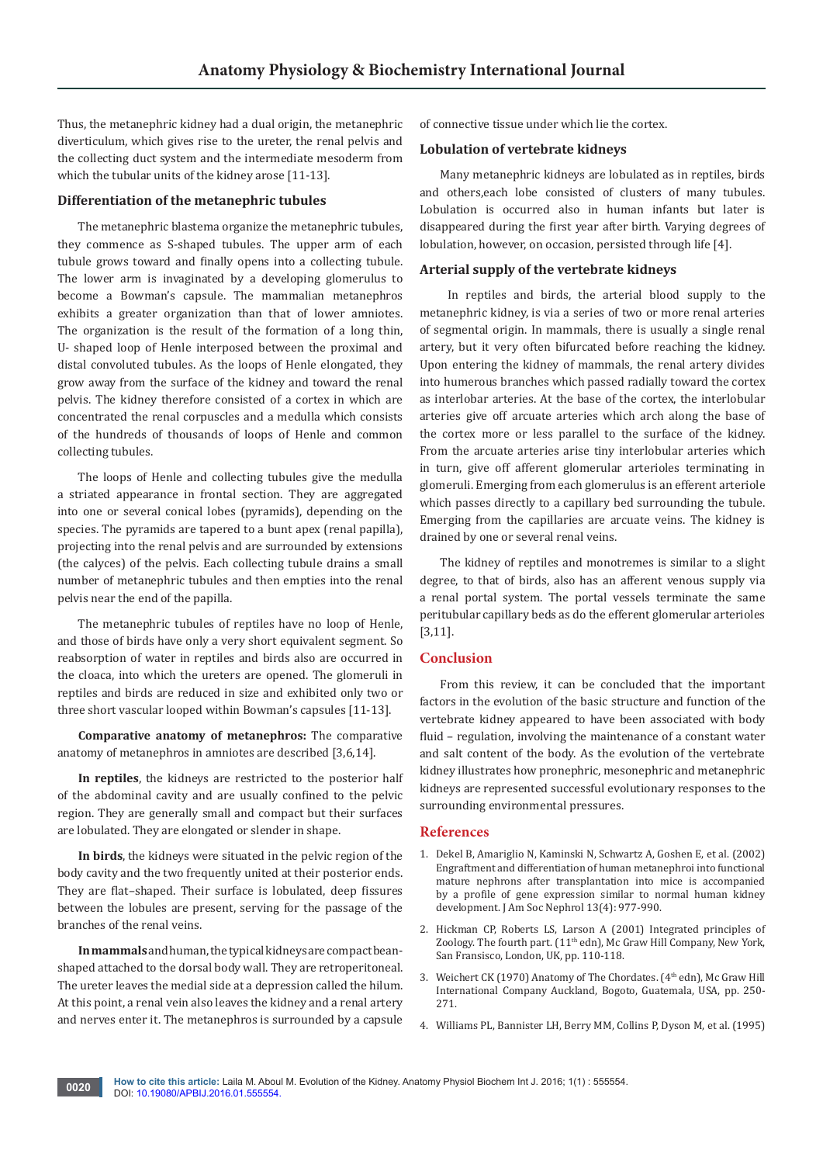Thus, the metanephric kidney had a dual origin, the metanephric diverticulum, which gives rise to the ureter, the renal pelvis and the collecting duct system and the intermediate mesoderm from which the tubular units of the kidney arose [11-13].

# **Differentiation of the metanephric tubules**

The metanephric blastema organize the metanephric tubules, they commence as S-shaped tubules. The upper arm of each tubule grows toward and finally opens into a collecting tubule. The lower arm is invaginated by a developing glomerulus to become a Bowman's capsule. The mammalian metanephros exhibits a greater organization than that of lower amniotes. The organization is the result of the formation of a long thin, U- shaped loop of Henle interposed between the proximal and distal convoluted tubules. As the loops of Henle elongated, they grow away from the surface of the kidney and toward the renal pelvis. The kidney therefore consisted of a cortex in which are concentrated the renal corpuscles and a medulla which consists of the hundreds of thousands of loops of Henle and common collecting tubules.

The loops of Henle and collecting tubules give the medulla a striated appearance in frontal section. They are aggregated into one or several conical lobes (pyramids), depending on the species. The pyramids are tapered to a bunt apex (renal papilla), projecting into the renal pelvis and are surrounded by extensions (the calyces) of the pelvis. Each collecting tubule drains a small number of metanephric tubules and then empties into the renal pelvis near the end of the papilla.

The metanephric tubules of reptiles have no loop of Henle, and those of birds have only a very short equivalent segment. So reabsorption of water in reptiles and birds also are occurred in the cloaca, into which the ureters are opened. The glomeruli in reptiles and birds are reduced in size and exhibited only two or three short vascular looped within Bowman's capsules [11-13].

**Comparative anatomy of metanephros:** The comparative anatomy of metanephros in amniotes are described [3,6,14].

**In reptiles**, the kidneys are restricted to the posterior half of the abdominal cavity and are usually confined to the pelvic region. They are generally small and compact but their surfaces are lobulated. They are elongated or slender in shape.

**In birds**, the kidneys were situated in the pelvic region of the body cavity and the two frequently united at their posterior ends. They are flat–shaped. Their surface is lobulated, deep fissures between the lobules are present, serving for the passage of the branches of the renal veins.

**In mammals** and human, the typical kidneys are compact beanshaped attached to the dorsal body wall. They are retroperitoneal. The ureter leaves the medial side at a depression called the hilum. At this point, a renal vein also leaves the kidney and a renal artery and nerves enter it. The metanephros is surrounded by a capsule

of connective tissue under which lie the cortex.

#### **Lobulation of vertebrate kidneys**

Many metanephric kidneys are lobulated as in reptiles, birds and others,each lobe consisted of clusters of many tubules. Lobulation is occurred also in human infants but later is disappeared during the first year after birth. Varying degrees of lobulation, however, on occasion, persisted through life [4].

## **Arterial supply of the vertebrate kidneys**

 In reptiles and birds, the arterial blood supply to the metanephric kidney, is via a series of two or more renal arteries of segmental origin. In mammals, there is usually a single renal artery, but it very often bifurcated before reaching the kidney. Upon entering the kidney of mammals, the renal artery divides into humerous branches which passed radially toward the cortex as interlobar arteries. At the base of the cortex, the interlobular arteries give off arcuate arteries which arch along the base of the cortex more or less parallel to the surface of the kidney. From the arcuate arteries arise tiny interlobular arteries which in turn, give off afferent glomerular arterioles terminating in glomeruli. Emerging from each glomerulus is an efferent arteriole which passes directly to a capillary bed surrounding the tubule. Emerging from the capillaries are arcuate veins. The kidney is drained by one or several renal veins.

The kidney of reptiles and monotremes is similar to a slight degree, to that of birds, also has an afferent venous supply via a renal portal system. The portal vessels terminate the same peritubular capillary beds as do the efferent glomerular arterioles [3,11].

## **Conclusion**

From this review, it can be concluded that the important factors in the evolution of the basic structure and function of the vertebrate kidney appeared to have been associated with body fluid – regulation, involving the maintenance of a constant water and salt content of the body. As the evolution of the vertebrate kidney illustrates how pronephric, mesonephric and metanephric kidneys are represented successful evolutionary responses to the surrounding environmental pressures.

#### **References**

- 1. [Dekel B, Amariglio N, Kaminski N, Schwartz A, Goshen E, et al. \(2002\)](http://www.ncbi.nlm.nih.gov/pubmed/11912257)  [Engraftment and differentiation of human metanephroi into functional](http://www.ncbi.nlm.nih.gov/pubmed/11912257)  [mature nephrons after transplantation into mice is accompanied](http://www.ncbi.nlm.nih.gov/pubmed/11912257)  [by a profile of gene expression similar to normal human kidney](http://www.ncbi.nlm.nih.gov/pubmed/11912257)  [development. J Am Soc Nephrol 13\(4\): 977-990.](http://www.ncbi.nlm.nih.gov/pubmed/11912257)
- 2. [Hickman CP, Roberts LS, Larson A \(2001\) Integrated principles of](http://www.usc.es/export/sites/default/gl/investigacion/grupos/malaterra/publicaciones/Invertebrados_Lecciones/PART_II_Hickmanx_Robertsx_Larson_Integrated_Principles_of_Zoology.pdf)  Zoology. The fourth part. (11<sup>th</sup> edn), Mc Graw Hill Company, New York, [San Fransisco, London, UK, pp. 110-118.](http://www.usc.es/export/sites/default/gl/investigacion/grupos/malaterra/publicaciones/Invertebrados_Lecciones/PART_II_Hickmanx_Robertsx_Larson_Integrated_Principles_of_Zoology.pdf)
- 3. Weichert CK (1970) Anatomy of The Chordates. (4<sup>th</sup> edn), Mc Graw Hill International Company Auckland, Bogoto, Guatemala, USA, pp. 250- 271.
- 4. Williams PL, Bannister LH, Berry MM, Collins P, Dyson M, et al. (1995)